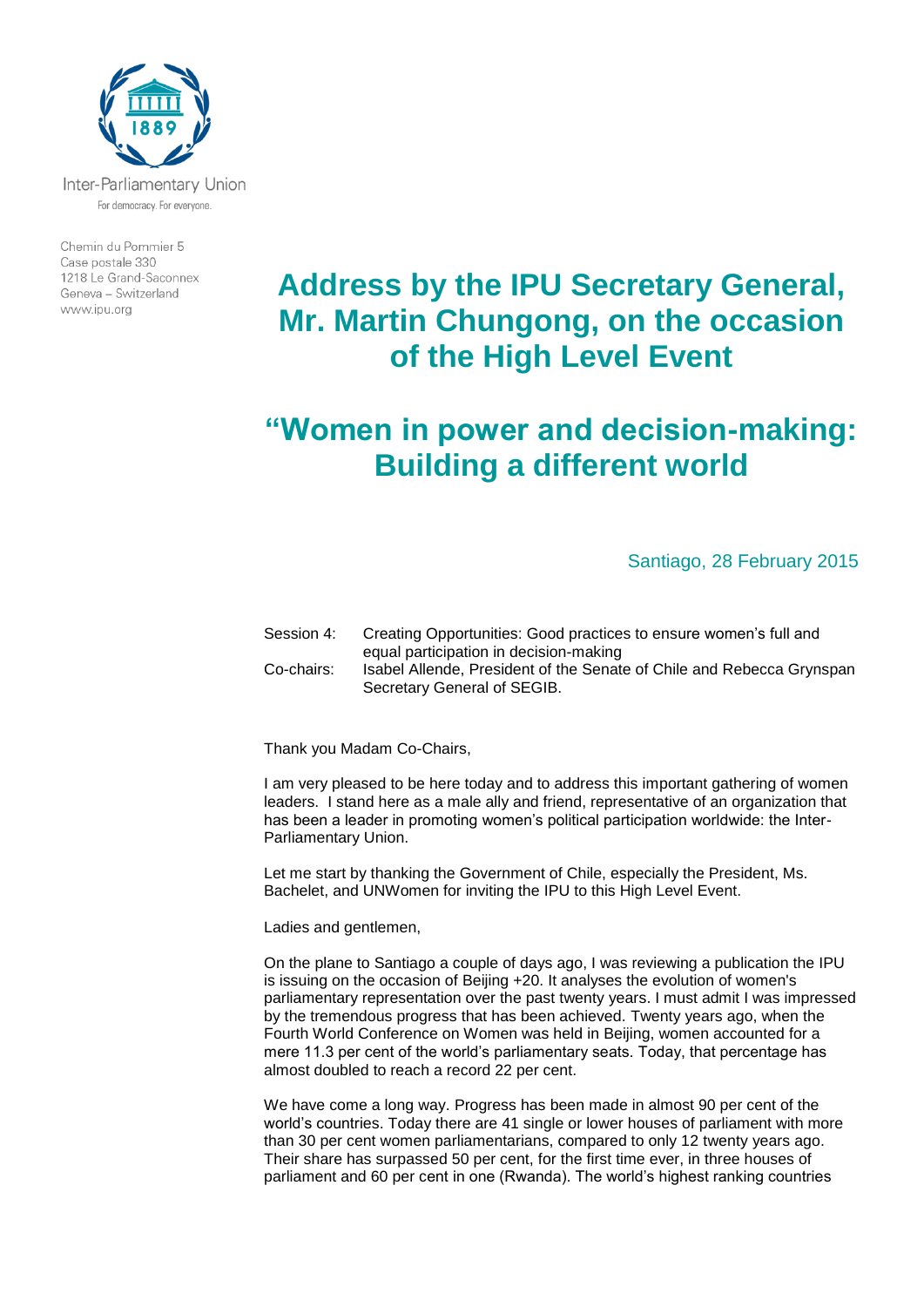

Chemin du Pommier 5 Case postale 330 1218 Le Grand-Saconnex Geneva - Switzerland www.ipu.org

## **Address by the IPU Secretary General, Mr. Martin Chungong, on the occasion of the High Level Event**

## **"Women in power and decision-making: Building a different world**

## Santiago, 28 February 2015

Session 4: Creating Opportunities: Good practices to ensure women's full and equal participation in decision-making Co-chairs: Isabel Allende, President of the Senate of Chile and Rebecca Grynspan Secretary General of SEGIB.

Thank you Madam Co-Chairs,

I am very pleased to be here today and to address this important gathering of women leaders. I stand here as a male ally and friend, representative of an organization that has been a leader in promoting women's political participation worldwide: the Inter-Parliamentary Union.

Let me start by thanking the Government of Chile, especially the President, Ms. Bachelet, and UNWomen for inviting the IPU to this High Level Event.

Ladies and gentlemen,

On the plane to Santiago a couple of days ago, I was reviewing a publication the IPU is issuing on the occasion of Beijing +20. It analyses the evolution of women's parliamentary representation over the past twenty years. I must admit I was impressed by the tremendous progress that has been achieved. Twenty years ago, when the Fourth World Conference on Women was held in Beijing, women accounted for a mere 11.3 per cent of the world's parliamentary seats. Today, that percentage has almost doubled to reach a record 22 per cent.

We have come a long way. Progress has been made in almost 90 per cent of the world's countries. Today there are 41 single or lower houses of parliament with more than 30 per cent women parliamentarians, compared to only 12 twenty years ago. Their share has surpassed 50 per cent, for the first time ever, in three houses of parliament and 60 per cent in one (Rwanda). The world's highest ranking countries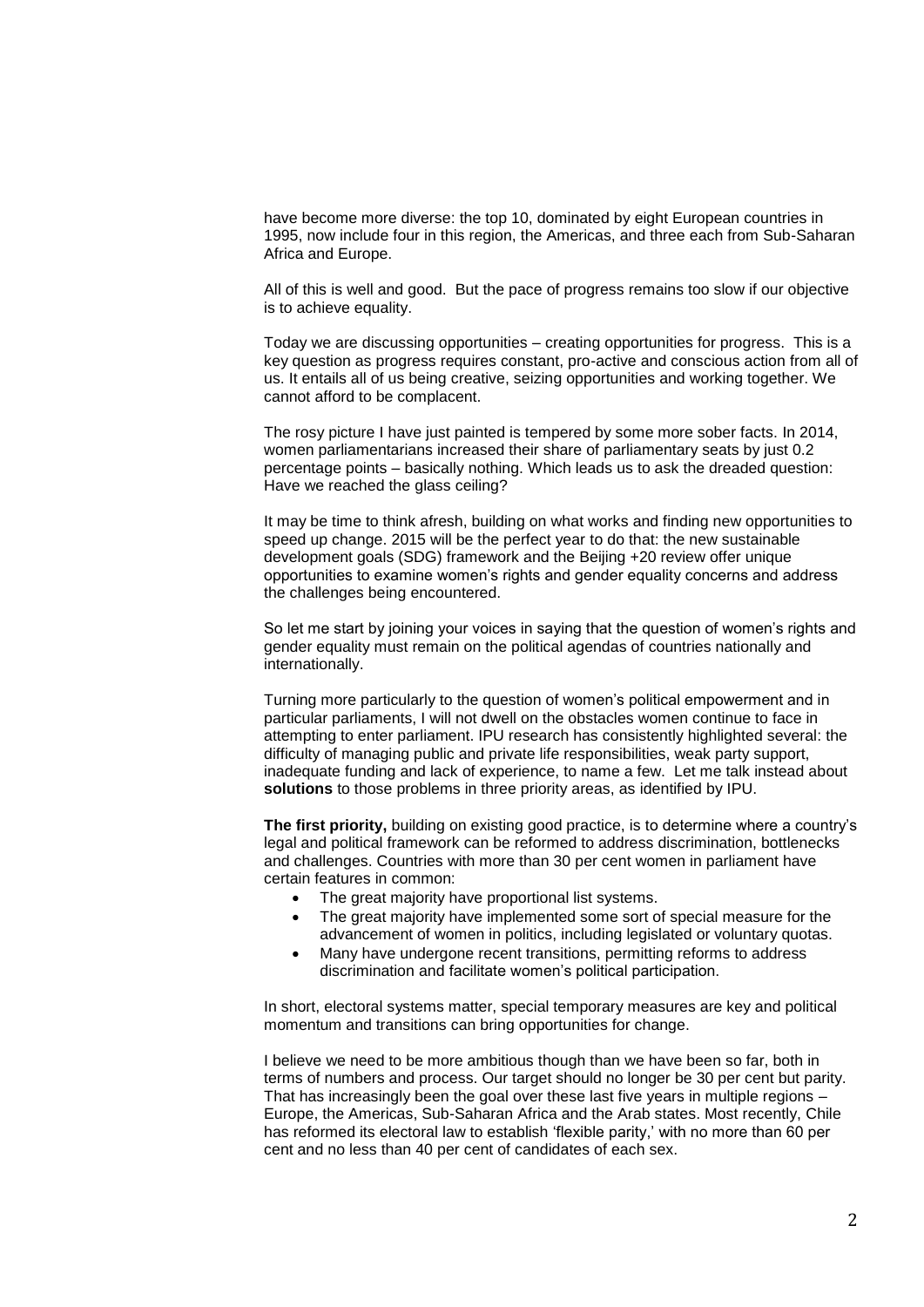have become more diverse: the top 10, dominated by eight European countries in 1995, now include four in this region, the Americas, and three each from Sub-Saharan Africa and Europe.

All of this is well and good. But the pace of progress remains too slow if our objective is to achieve equality.

Today we are discussing opportunities – creating opportunities for progress. This is a key question as progress requires constant, pro-active and conscious action from all of us. It entails all of us being creative, seizing opportunities and working together. We cannot afford to be complacent.

The rosy picture I have just painted is tempered by some more sober facts. In 2014, women parliamentarians increased their share of parliamentary seats by just 0.2 percentage points – basically nothing. Which leads us to ask the dreaded question: Have we reached the glass ceiling?

It may be time to think afresh, building on what works and finding new opportunities to speed up change. 2015 will be the perfect year to do that: the new sustainable development goals (SDG) framework and the Beijing +20 review offer unique opportunities to examine women's rights and gender equality concerns and address the challenges being encountered.

So let me start by joining your voices in saying that the question of women's rights and gender equality must remain on the political agendas of countries nationally and internationally.

Turning more particularly to the question of women's political empowerment and in particular parliaments, I will not dwell on the obstacles women continue to face in attempting to enter parliament. IPU research has consistently highlighted several: the difficulty of managing public and private life responsibilities, weak party support, inadequate funding and lack of experience, to name a few. Let me talk instead about **solutions** to those problems in three priority areas, as identified by IPU.

**The first priority,** building on existing good practice, is to determine where a country's legal and political framework can be reformed to address discrimination, bottlenecks and challenges. Countries with more than 30 per cent women in parliament have certain features in common:

- The great majority have proportional list systems.
- The great majority have implemented some sort of special measure for the advancement of women in politics, including legislated or voluntary quotas.
- Many have undergone recent transitions, permitting reforms to address discrimination and facilitate women's political participation.

In short, electoral systems matter, special temporary measures are key and political momentum and transitions can bring opportunities for change.

I believe we need to be more ambitious though than we have been so far, both in terms of numbers and process. Our target should no longer be 30 per cent but parity. That has increasingly been the goal over these last five years in multiple regions – Europe, the Americas, Sub-Saharan Africa and the Arab states. Most recently, Chile has reformed its electoral law to establish 'flexible parity,' with no more than 60 per cent and no less than 40 per cent of candidates of each sex.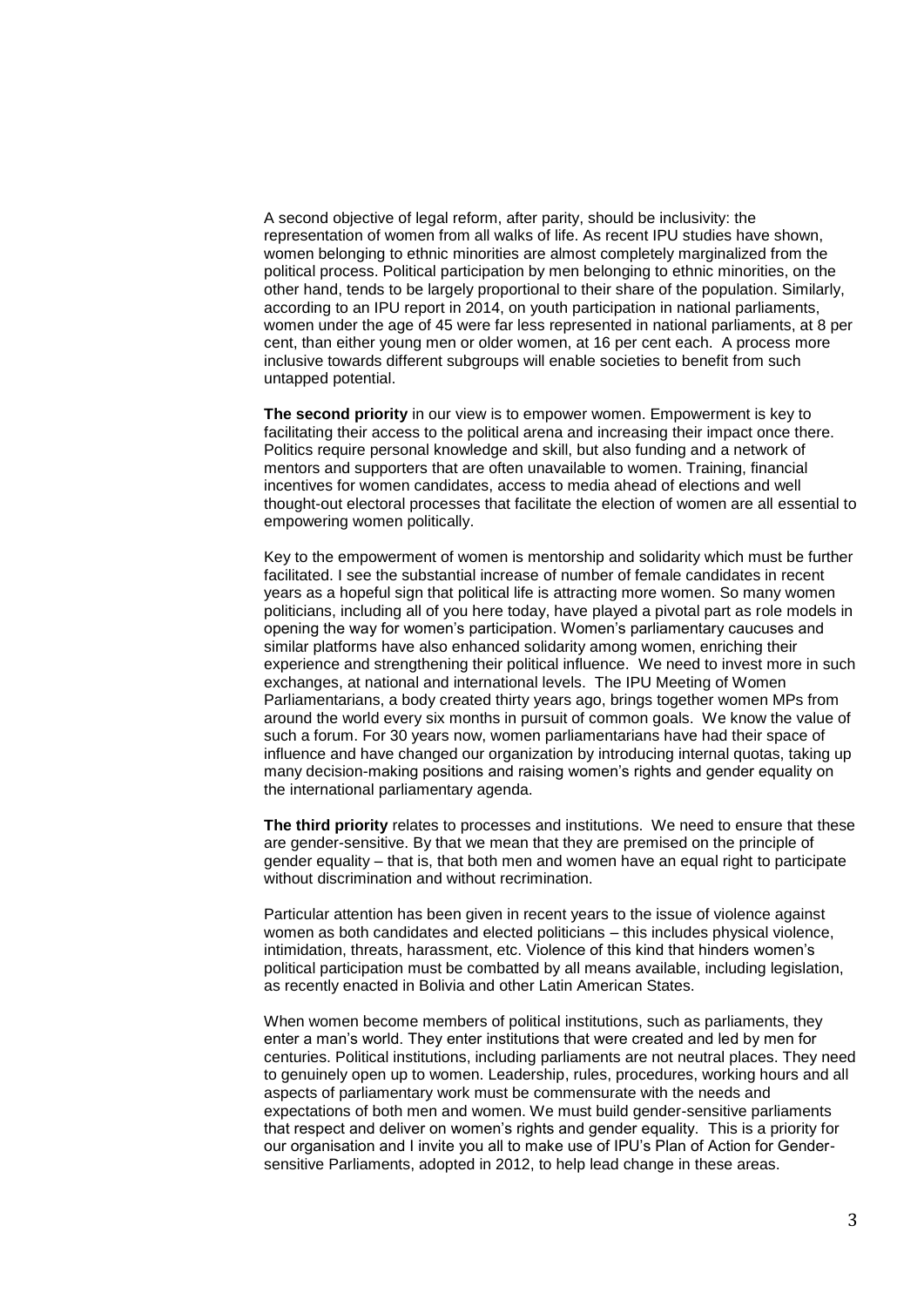A second objective of legal reform, after parity, should be inclusivity: the representation of women from all walks of life. As recent IPU studies have shown, women belonging to ethnic minorities are almost completely marginalized from the political process. Political participation by men belonging to ethnic minorities, on the other hand, tends to be largely proportional to their share of the population. Similarly, according to an IPU report in 2014, on youth participation in national parliaments, women under the age of 45 were far less represented in national parliaments, at 8 per cent, than either young men or older women, at 16 per cent each. A process more inclusive towards different subgroups will enable societies to benefit from such untapped potential.

**The second priority** in our view is to empower women. Empowerment is key to facilitating their access to the political arena and increasing their impact once there. Politics require personal knowledge and skill, but also funding and a network of mentors and supporters that are often unavailable to women. Training, financial incentives for women candidates, access to media ahead of elections and well thought-out electoral processes that facilitate the election of women are all essential to empowering women politically.

Key to the empowerment of women is mentorship and solidarity which must be further facilitated. I see the substantial increase of number of female candidates in recent years as a hopeful sign that political life is attracting more women. So many women politicians, including all of you here today, have played a pivotal part as role models in opening the way for women's participation. Women's parliamentary caucuses and similar platforms have also enhanced solidarity among women, enriching their experience and strengthening their political influence. We need to invest more in such exchanges, at national and international levels. The IPU Meeting of Women Parliamentarians, a body created thirty years ago, brings together women MPs from around the world every six months in pursuit of common goals. We know the value of such a forum. For 30 years now, women parliamentarians have had their space of influence and have changed our organization by introducing internal quotas, taking up many decision-making positions and raising women's rights and gender equality on the international parliamentary agenda.

**The third priority** relates to processes and institutions. We need to ensure that these are gender-sensitive. By that we mean that they are premised on the principle of gender equality – that is, that both men and women have an equal right to participate without discrimination and without recrimination.

Particular attention has been given in recent years to the issue of violence against women as both candidates and elected politicians – this includes physical violence, intimidation, threats, harassment, etc. Violence of this kind that hinders women's political participation must be combatted by all means available, including legislation, as recently enacted in Bolivia and other Latin American States.

When women become members of political institutions, such as parliaments, they enter a man's world. They enter institutions that were created and led by men for centuries. Political institutions, including parliaments are not neutral places. They need to genuinely open up to women. Leadership, rules, procedures, working hours and all aspects of parliamentary work must be commensurate with the needs and expectations of both men and women. We must build gender-sensitive parliaments that respect and deliver on women's rights and gender equality. This is a priority for our organisation and I invite you all to make use of IPU's Plan of Action for Gendersensitive Parliaments, adopted in 2012, to help lead change in these areas.